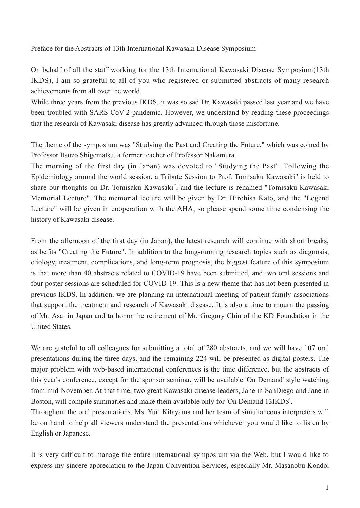Preface for the Abstracts of 13th International Kawasaki Disease Symposium

On behalf of all the staff working for the 13th International Kawasaki Disease Symposium(13th IKDS), I am so grateful to all of you who registered or submitted abstracts of many research achievements from all over the world.

While three years from the previous IKDS, it was so sad Dr. Kawasaki passed last year and we have been troubled with SARS-CoV-2 pandemic. However, we understand by reading these proceedings that the research of Kawasaki disease has greatly advanced through those misfortune.

The theme of the symposium was "Studying the Past and Creating the Future," which was coined by Professor Itsuzo Shigematsu, a former teacher of Professor Nakamura.

The morning of the first day (in Japan) was devoted to "Studying the Past". Following the Epidemiology around the world session, a Tribute Session to Prof. Tomisaku Kawasaki" is held to share our thoughts on Dr. Tomisaku Kawasaki", and the lecture is renamed "Tomisaku Kawasaki Memorial Lecture". The memorial lecture will be given by Dr. Hirohisa Kato, and the "Legend Lecture" will be given in cooperation with the AHA, so please spend some time condensing the history of Kawasaki disease.

From the afternoon of the first day (in Japan), the latest research will continue with short breaks, as befits "Creating the Future". In addition to the long-running research topics such as diagnosis, etiology, treatment, complications, and long-term prognosis, the biggest feature of this symposium is that more than 40 abstracts related to COVID-19 have been submitted, and two oral sessions and four poster sessions are scheduled for COVID-19. This is a new theme that has not been presented in previous IKDS. In addition, we are planning an international meeting of patient family associations that support the treatment and research of Kawasaki disease. It is also a time to mourn the passing of Mr. Asai in Japan and to honor the retirement of Mr. Gregory Chin of the KD Foundation in the United States.

We are grateful to all colleagues for submitting a total of 280 abstracts, and we will have 107 oral presentations during the three days, and the remaining 224 will be presented as digital posters. The major problem with web-based international conferences is the time difference, but the abstracts of this year's conference, except for the sponsor seminar, will be available 'On Demand' style watching from mid-November. At that time, two great Kawasaki disease leaders, Jane in SanDiego and Jane in Boston, will compile summaries and make them available only for 'On Demand 13IKDS'.

Throughout the oral presentations, Ms. Yuri Kitayama and her team of simultaneous interpreters will be on hand to help all viewers understand the presentations whichever you would like to listen by English or Japanese.

It is very difficult to manage the entire international symposium via the Web, but I would like to express my sincere appreciation to the Japan Convention Services, especially Mr. Masanobu Kondo,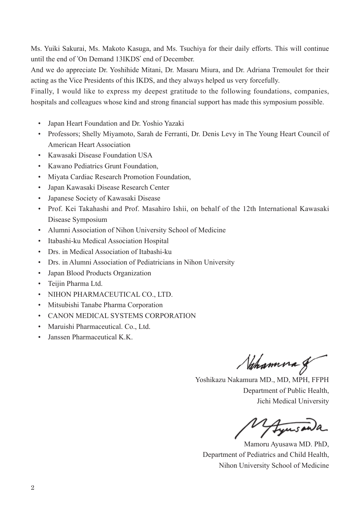Ms. Yuiki Sakurai, Ms. Makoto Kasuga, and Ms. Tsuchiya for their daily efforts. This will continue until the end of 'On Demand 13IKDS' end of December.

And we do appreciate Dr. Yoshihide Mitani, Dr. Masaru Miura, and Dr. Adriana Tremoulet for their acting as the Vice Presidents of this IKDS, and they always helped us very forcefully.

Finally, I would like to express my deepest gratitude to the following foundations, companies, hospitals and colleagues whose kind and strong financial support has made this symposium possible.

- Japan Heart Foundation and Dr. Yoshio Yazaki
- Professors; Shelly Miyamoto, Sarah de Ferranti, Dr. Denis Levy in The Young Heart Council of American Heart Association
- Kawasaki Disease Foundation USA
- Kawano Pediatrics Grunt Foundation,
- Miyata Cardiac Research Promotion Foundation,
- Japan Kawasaki Disease Research Center
- Japanese Society of Kawasaki Disease
- Prof. Kei Takahashi and Prof. Masahiro Ishii, on behalf of the 12th International Kawasaki Disease Symposium
- Alumni Association of Nihon University School of Medicine
- Itabashi-ku Medical Association Hospital
- Drs. in Medical Association of Itabashi-ku
- Drs. in Alumni Association of Pediatricians in Nihon University
- Japan Blood Products Organization
- Teijin Pharma Ltd.
- NIHON PHARMACEUTICAL CO., LTD.
- Mitsubishi Tanabe Pharma Corporation
- CANON MEDICAL SYSTEMS CORPORATION
- Maruishi Pharmaceutical. Co., Ltd.
- Janssen Pharmaceutical K.K.

Nahamna g

Yoshikazu Nakamura MD., MD, MPH, FFPH Department of Public Health, Jichi Medical University

Fyusanda

Mamoru Ayusawa MD. PhD, Department of Pediatrics and Child Health, Nihon University School of Medicine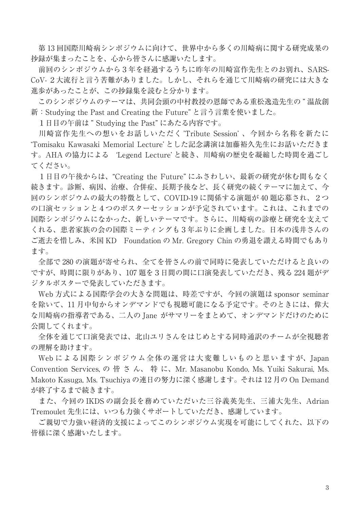第 13 回国際川崎病シンポジウムに向けて、世界中から多くの川崎病に関する研究成果の 抄録が集まったことを、心から皆さんに感謝いたします。

 前回のシンポジウムから3年を経過するうちに昨年の川崎富作先生とのお別れ、SARS-CoV- 2大流行と言う苦難がありました。しかし、それらを通じて川崎病の研究には大きな 進歩があったことが、この抄録集を読むと分かります。

 このシンポジウムのテーマは、共同会頭の中村教授の恩師である重松逸造先生の " 温故創 新:Studying the Past and Creating the Future" と言う言葉を使いました。

1日目の午前は " Studying the Past" にあたる内容です。

 川崎富作先生への想いをお話しいただく 'Tribute Session' 、今回から名称を新たに 'Tomisaku Kawasaki Memorial Lecture' とした記念講演は加藤裕久先生にお話いただきま す。AHA の協力による 'Legend Lecture' と続き、川崎病の歴史を凝縮した時間を過ごし てください。

 1日目の午後からは、"Creating the Future" にふさわしい、最新の研究が休む間もなく 続きます。診断、病因、治療、合併症、長期予後など、長く研究の続くテーマに加えて、今 回のシンポジウムの最大の特徴として、COVID-19 に関係する演題が 40 題応募され、2つ の口演セッションと4つのポスターセッションが予定されています。これは、これまでの 国際シンポジウムになかった、新しいテーマです。さらに、川崎病の診療と研究を支えて くれる、患者家族の会の国際ミーティングも3年ぶりに企画しました。日本の浅井さんの ご逝去を惜しみ、米国 KD Foundation の Mr. Gregory Chin の勇退を讃える時間でもあり ます。

 全部で 280 の演題が寄せられ、全てを皆さんの前で同時に発表していただけると良いの ですが、時間に限りがあり、107 題を3日間の間に口演発表していただき、残る 224 題がデ ジタルポスターで発表していただきます。

 Web 方式による国際学会の大きな問題は、時差ですが、今回の演題は sponsor seminar を除いて、11 月中旬からオンデマンドでも視聴可能になる予定です。そのときには、偉大 な川崎病の指導者である、二人の Jane がサマリーをまとめて、オンデマンドだけのために 公開してくれます。

 全体を通じて口演発表では、北山ユリさんをはじめとする同時通訳のチームが全視聴者 の理解を助けます。

 Web による国際シンポジウム全体の運営は大変難しいものと思いますが、Japan Convention Services, の 皆 さ ん、 特 に、Mr. Masanobu Kondo, Ms. Yuiki Sakurai, Ms. Makoto Kasuga, Ms. Tsuchiya の連日の努力に深く感謝します。それは 12 月の On Demand が終了するまで続きます。

 また、今回の IKDS の副会長を務めていただいた三谷義英先生、三浦大先生、Adrian Tremoulet 先生には、いつも力強くサポートしていただき、感謝しています。

 ご親切で力強い経済的支援によってこのシンポジウム実現を可能にしてくれた、以下の 皆様に深く感謝いたします。